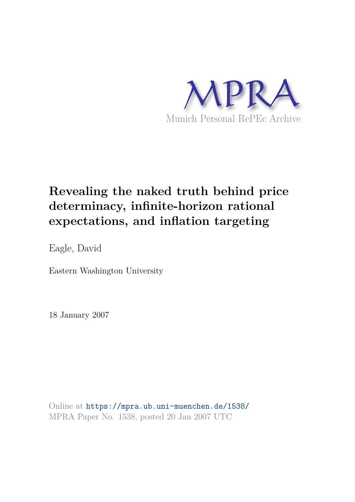

# **Revealing the naked truth behind price determinacy, infinite-horizon rational expectations, and inflation targeting**

Eagle, David

Eastern Washington University

18 January 2007

Online at https://mpra.ub.uni-muenchen.de/1538/ MPRA Paper No. 1538, posted 20 Jan 2007 UTC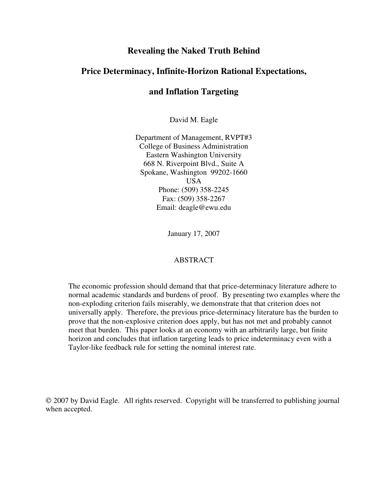## **Revealing the Naked Truth Behind**

## **Price Determinacy, Infinite-Horizon Rational Expectations,**

# **and Inflation Targeting**

David M. Eagle

Department of Management, RVPT#3 College of Business Administration Eastern Washington University 668 N. Riverpoint Blvd., Suite A Spokane, Washington 99202-1660 USA Phone: (509) 358-2245 Fax: (509) 358-2267 Email: deagle@ewu.edu

January 17, 2007

#### ABSTRACT

The economic profession should demand that that price-determinacy literature adhere to normal academic standards and burdens of proof. By presenting two examples where the non-exploding criterion fails miserably, we demonstrate that that criterion does not universally apply. Therefore, the previous price-determinacy literature has the burden to prove that the non-explosive criterion does apply, but has not met and probably cannot meet that burden. This paper looks at an economy with an arbitrarily large, but finite horizon and concludes that inflation targeting leads to price indeterminacy even with a Taylor-like feedback rule for setting the nominal interest rate.

 2007 by David Eagle. All rights reserved. Copyright will be transferred to publishing journal when accepted.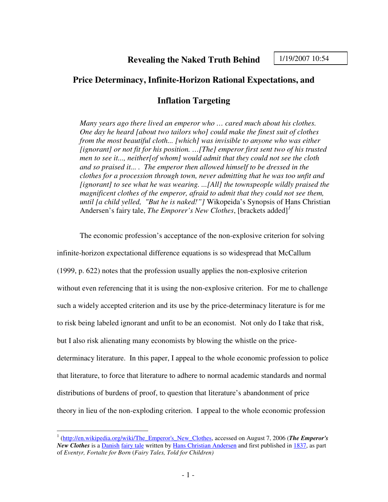## **Price Determinacy, Infinite-Horizon Rational Expectations, and**

# **Inflation Targeting**

*Many years ago there lived an emperor who … cared much about his clothes. One day he heard [about two tailors who] could make the finest suit of clothes from the most beautiful cloth... [which] was invisible to anyone who was either [ignorant] or not fit for his position. …[The] emperor first sent two of his trusted men to see it..., neither[of whom] would admit that they could not see the cloth and so praised it... . The emperor then allowed himself to be dressed in the clothes for a procession through town, never admitting that he was too unfit and [ignorant] to see what he was wearing. ...[All] the townspeople wildly praised the magnificent clothes of the emperor, afraid to admit that they could not see them, until [a child yelled, "But he is naked!"]* Wikopeida's Synopsis of Hans Christian Andersen's fairy tale, *The Emporer's New Clothes*, [brackets added]*<sup>1</sup>*

The economic profession's acceptance of the non-explosive criterion for solving infinite-horizon expectational difference equations is so widespread that McCallum (1999, p. 622) notes that the profession usually applies the non-explosive criterion without even referencing that it is using the non-explosive criterion. For me to challenge such a widely accepted criterion and its use by the price-determinacy literature is for me to risk being labeled ignorant and unfit to be an economist. Not only do I take that risk, but I also risk alienating many economists by blowing the whistle on the pricedeterminacy literature. In this paper, I appeal to the whole economic profession to police that literature, to force that literature to adhere to normal academic standards and normal distributions of burdens of proof, to question that literature's abandonment of price theory in lieu of the non-exploding criterion. I appeal to the whole economic profession

 1 (http://en.wikipedia.org/wiki/The\_Emperor's\_New\_Clothes, accessed on August 7, 2006 (*The Emperor's New Clothes* is a Danish fairy tale written by Hans Christian Andersen and first published in 1837, as part of *Eventyr, Fortalte for Born* (*Fairy Tales, Told for Children)*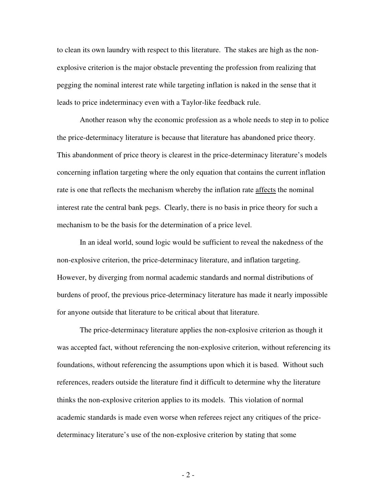to clean its own laundry with respect to this literature. The stakes are high as the nonexplosive criterion is the major obstacle preventing the profession from realizing that pegging the nominal interest rate while targeting inflation is naked in the sense that it leads to price indeterminacy even with a Taylor-like feedback rule.

Another reason why the economic profession as a whole needs to step in to police the price-determinacy literature is because that literature has abandoned price theory. This abandonment of price theory is clearest in the price-determinacy literature's models concerning inflation targeting where the only equation that contains the current inflation rate is one that reflects the mechanism whereby the inflation rate affects the nominal interest rate the central bank pegs. Clearly, there is no basis in price theory for such a mechanism to be the basis for the determination of a price level.

In an ideal world, sound logic would be sufficient to reveal the nakedness of the non-explosive criterion, the price-determinacy literature, and inflation targeting. However, by diverging from normal academic standards and normal distributions of burdens of proof, the previous price-determinacy literature has made it nearly impossible for anyone outside that literature to be critical about that literature.

The price-determinacy literature applies the non-explosive criterion as though it was accepted fact, without referencing the non-explosive criterion, without referencing its foundations, without referencing the assumptions upon which it is based. Without such references, readers outside the literature find it difficult to determine why the literature thinks the non-explosive criterion applies to its models. This violation of normal academic standards is made even worse when referees reject any critiques of the pricedeterminacy literature's use of the non-explosive criterion by stating that some

- 2 -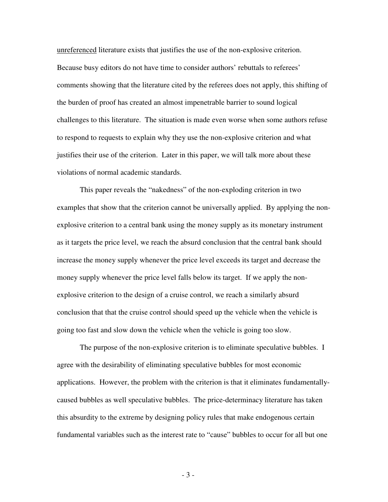unreferenced literature exists that justifies the use of the non-explosive criterion. Because busy editors do not have time to consider authors' rebuttals to referees' comments showing that the literature cited by the referees does not apply, this shifting of the burden of proof has created an almost impenetrable barrier to sound logical challenges to this literature. The situation is made even worse when some authors refuse to respond to requests to explain why they use the non-explosive criterion and what justifies their use of the criterion. Later in this paper, we will talk more about these violations of normal academic standards.

This paper reveals the "nakedness" of the non-exploding criterion in two examples that show that the criterion cannot be universally applied. By applying the nonexplosive criterion to a central bank using the money supply as its monetary instrument as it targets the price level, we reach the absurd conclusion that the central bank should increase the money supply whenever the price level exceeds its target and decrease the money supply whenever the price level falls below its target. If we apply the nonexplosive criterion to the design of a cruise control, we reach a similarly absurd conclusion that that the cruise control should speed up the vehicle when the vehicle is going too fast and slow down the vehicle when the vehicle is going too slow.

The purpose of the non-explosive criterion is to eliminate speculative bubbles. I agree with the desirability of eliminating speculative bubbles for most economic applications. However, the problem with the criterion is that it eliminates fundamentallycaused bubbles as well speculative bubbles. The price-determinacy literature has taken this absurdity to the extreme by designing policy rules that make endogenous certain fundamental variables such as the interest rate to "cause" bubbles to occur for all but one

- 3 -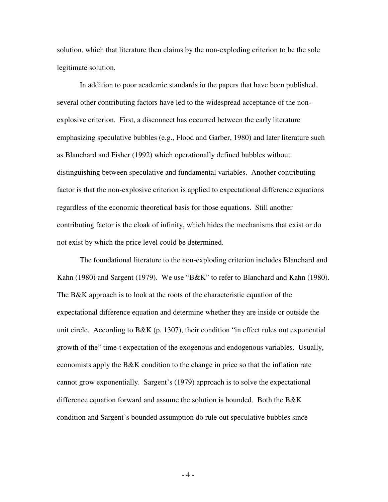solution, which that literature then claims by the non-exploding criterion to be the sole legitimate solution.

In addition to poor academic standards in the papers that have been published, several other contributing factors have led to the widespread acceptance of the nonexplosive criterion. First, a disconnect has occurred between the early literature emphasizing speculative bubbles (e.g., Flood and Garber, 1980) and later literature such as Blanchard and Fisher (1992) which operationally defined bubbles without distinguishing between speculative and fundamental variables. Another contributing factor is that the non-explosive criterion is applied to expectational difference equations regardless of the economic theoretical basis for those equations. Still another contributing factor is the cloak of infinity, which hides the mechanisms that exist or do not exist by which the price level could be determined.

The foundational literature to the non-exploding criterion includes Blanchard and Kahn (1980) and Sargent (1979). We use "B&K" to refer to Blanchard and Kahn (1980). The B&K approach is to look at the roots of the characteristic equation of the expectational difference equation and determine whether they are inside or outside the unit circle. According to B&K (p. 1307), their condition "in effect rules out exponential growth of the" time-t expectation of the exogenous and endogenous variables. Usually, economists apply the B&K condition to the change in price so that the inflation rate cannot grow exponentially. Sargent's (1979) approach is to solve the expectational difference equation forward and assume the solution is bounded. Both the B&K condition and Sargent's bounded assumption do rule out speculative bubbles since

- 4 -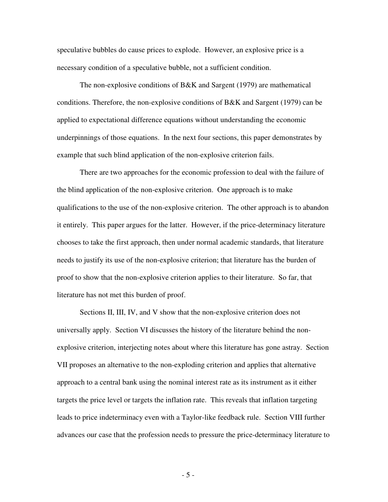speculative bubbles do cause prices to explode. However, an explosive price is a necessary condition of a speculative bubble, not a sufficient condition.

The non-explosive conditions of B&K and Sargent (1979) are mathematical conditions. Therefore, the non-explosive conditions of  $B\&K$  and Sargent (1979) can be applied to expectational difference equations without understanding the economic underpinnings of those equations. In the next four sections, this paper demonstrates by example that such blind application of the non-explosive criterion fails.

There are two approaches for the economic profession to deal with the failure of the blind application of the non-explosive criterion. One approach is to make qualifications to the use of the non-explosive criterion. The other approach is to abandon it entirely. This paper argues for the latter. However, if the price-determinacy literature chooses to take the first approach, then under normal academic standards, that literature needs to justify its use of the non-explosive criterion; that literature has the burden of proof to show that the non-explosive criterion applies to their literature. So far, that literature has not met this burden of proof.

Sections II, III, IV, and V show that the non-explosive criterion does not universally apply. Section VI discusses the history of the literature behind the nonexplosive criterion, interjecting notes about where this literature has gone astray. Section VII proposes an alternative to the non-exploding criterion and applies that alternative approach to a central bank using the nominal interest rate as its instrument as it either targets the price level or targets the inflation rate. This reveals that inflation targeting leads to price indeterminacy even with a Taylor-like feedback rule. Section VIII further advances our case that the profession needs to pressure the price-determinacy literature to

- 5 -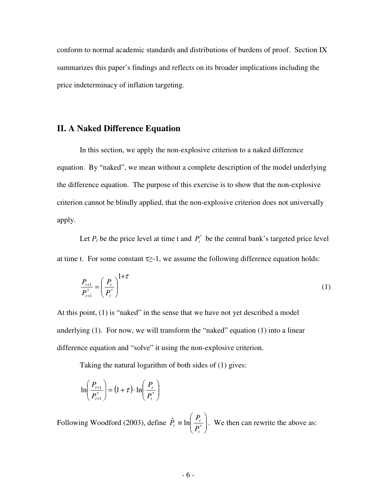conform to normal academic standards and distributions of burdens of proof. Section IX summarizes this paper's findings and reflects on its broader implications including the price indeterminacy of inflation targeting.

## **II. A Naked Difference Equation**

 In this section, we apply the non-explosive criterion to a naked difference equation. By "naked", we mean without a complete description of the model underlying the difference equation. The purpose of this exercise is to show that the non-explosive criterion cannot be blindly applied, that the non-explosive criterion does not universally apply.

Let  $P_t$  be the price level at time t and  $P_t^*$  be the central bank's targeted price level at time t. For some constant  $\tau$  -1, we assume the following difference equation holds:

$$
\frac{P_{t+1}}{P_{t+1}^*} = \left(\frac{P_t}{P_t^*}\right)^{1+\tau}
$$
\n(1)

At this point, (1) is "naked" in the sense that we have not yet described a model underlying (1). For now, we will transform the "naked" equation (1) into a linear difference equation and "solve" it using the non-explosive criterion.

Taking the natural logarithm of both sides of (1) gives:

$$
\ln\left(\frac{P_{t+1}}{P_{t+1}^*}\right) = \left(1+\tau\right) \cdot \ln\left(\frac{P_t}{P_t^*}\right)
$$

Following Woodford (2003), define  $\hat{P}_t \equiv \ln \left| \frac{I_t}{R^*} \right|$ -  $\backslash$  $\overline{\phantom{a}}$ l ſ  $\hat{P}_t \equiv \ln \left| \frac{P_t}{D^*} \right|$ *t t*  $\mu$ <sup>*t*</sup>  $\left(P_{\mu}$ *P*  $P_t \equiv \ln \left| \frac{I_t}{R} \right|$ . We then can rewrite the above as: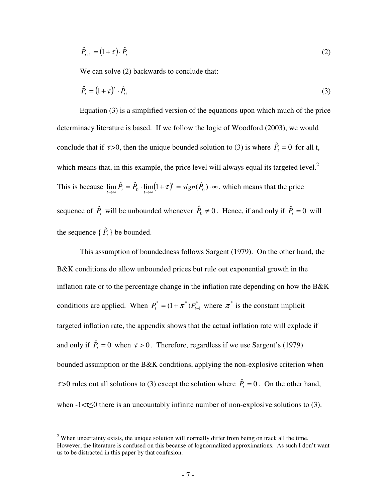$$
\hat{P}_{t+1} = (1+\tau) \cdot \hat{P}_t \tag{2}
$$

We can solve  $(2)$  backwards to conclude that:

$$
\hat{P}_t = (1 + \tau)^t \cdot \hat{P}_0 \tag{3}
$$

 Equation (3) is a simplified version of the equations upon which much of the price determinacy literature is based. If we follow the logic of Woodford (2003), we would conclude that if  $\tau > 0$ , then the unique bounded solution to (3) is where  $\hat{P}_t = 0$  for all t, which means that, in this example, the price level will always equal its targeted level. $2$ This is because  $\lim_{t \to \infty} \hat{P}_t = \hat{P}_0 \cdot \lim_{t \to \infty} (1 + \tau)^t = sign(\hat{P}_0) \cdot \infty$ , which means that the price sequence of  $\hat{P}_t$  will be unbounded whenever  $\hat{P}_0 \neq 0$ . Hence, if and only if  $\hat{P}_t = 0$  will the sequence  $\{\hat{P}_t\}$  be bounded.

 This assumption of boundedness follows Sargent (1979). On the other hand, the B&K conditions do allow unbounded prices but rule out exponential growth in the inflation rate or to the percentage change in the inflation rate depending on how the  $B\&K$ conditions are applied. When  $P_t^* = (1 + \pi^*)P_{t-1}^*$  $P_t^* = (1 + \pi^*) P_{t-1}^*$  where  $\pi^*$  is the constant implicit targeted inflation rate, the appendix shows that the actual inflation rate will explode if and only if  $\hat{P}_t = 0$  when  $\tau > 0$ . Therefore, regardless if we use Sargent's (1979) bounded assumption or the B&K conditions, applying the non-explosive criterion when  $\tau > 0$  rules out all solutions to (3) except the solution where  $\hat{P}_t = 0$ . On the other hand, when  $-1 < \tau \leq 0$  there is an uncountably infinite number of non-explosive solutions to (3).

 $\overline{a}$ 

 $2$  When uncertainty exists, the unique solution will normally differ from being on track all the time. However, the literature is confused on this because of lognormalized approximations. As such I don't want us to be distracted in this paper by that confusion.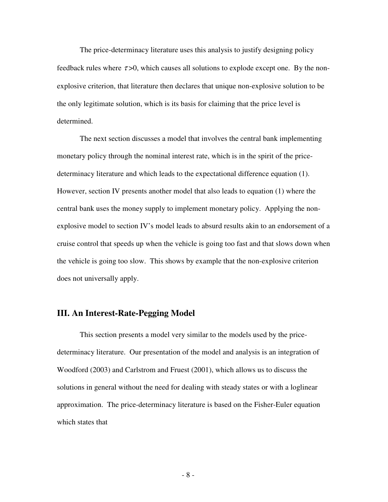The price-determinacy literature uses this analysis to justify designing policy feedback rules where  $\tau > 0$ , which causes all solutions to explode except one. By the nonexplosive criterion, that literature then declares that unique non-explosive solution to be the only legitimate solution, which is its basis for claiming that the price level is determined.

The next section discusses a model that involves the central bank implementing monetary policy through the nominal interest rate, which is in the spirit of the pricedeterminacy literature and which leads to the expectational difference equation (1). However, section IV presents another model that also leads to equation (1) where the central bank uses the money supply to implement monetary policy. Applying the nonexplosive model to section IV's model leads to absurd results akin to an endorsement of a cruise control that speeds up when the vehicle is going too fast and that slows down when the vehicle is going too slow. This shows by example that the non-explosive criterion does not universally apply.

## **III. An Interest-Rate-Pegging Model**

This section presents a model very similar to the models used by the pricedeterminacy literature. Our presentation of the model and analysis is an integration of Woodford (2003) and Carlstrom and Fruest (2001), which allows us to discuss the solutions in general without the need for dealing with steady states or with a loglinear approximation. The price-determinacy literature is based on the Fisher-Euler equation which states that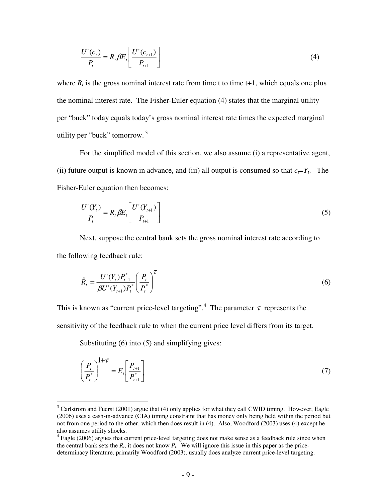$$
\frac{U'(c_t)}{P_t} = R_t \beta E_t \left[ \frac{U'(c_{t+1})}{P_{t+1}} \right]
$$
\n(4)

where  $R_t$  is the gross nominal interest rate from time t to time  $t+1$ , which equals one plus the nominal interest rate. The Fisher-Euler equation (4) states that the marginal utility per "buck" today equals today's gross nominal interest rate times the expected marginal utility per "buck" tomorrow. $3$ 

 For the simplified model of this section, we also assume (i) a representative agent, (ii) future output is known in advance, and (iii) all output is consumed so that  $c_f = Y_t$ . The Fisher-Euler equation then becomes:

$$
\frac{U'(Y_t)}{P_t} = R_t \beta E_t \left[ \frac{U'(Y_{t+1})}{P_{t+1}} \right]
$$
\n
$$
(5)
$$

 Next, suppose the central bank sets the gross nominal interest rate according to the following feedback rule:

$$
\hat{R}_t = \frac{U'(Y_t)P_{t+1}^*}{\beta U'(Y_{t+1})P_t^*} \left(\frac{P_t}{P_t^*}\right)^{\tau}
$$
\n(6)

This is known as "current price-level targeting".<sup>4</sup> The parameter  $\tau$  represents the sensitivity of the feedback rule to when the current price level differs from its target.

Substituting (6) into (5) and simplifying gives:

 $\overline{a}$ 

$$
\left(\frac{P_t}{P_t^*}\right)^{1+\tau} = E_t \left[\frac{P_{t+1}}{P_{t+1}^*}\right]
$$
\n(7)

 $3$  Carlstrom and Fuerst (2001) argue that (4) only applies for what they call CWID timing. However, Eagle (2006) uses a cash-in-advance (CIA) timing constraint that has money only being held within the period but not from one period to the other, which then does result in (4). Also, Woodford (2003) uses (4) except he also assumes utility shocks.

 $4$  Eagle (2006) argues that current price-level targeting does not make sense as a feedback rule since when the central bank sets the  $R_t$ , it does not know  $P_t$ . We will ignore this issue in this paper as the pricedeterminacy literature, primarily Woodford (2003), usually does analyze current price-level targeting.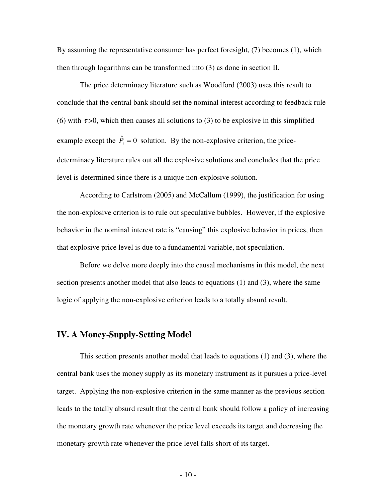By assuming the representative consumer has perfect foresight, (7) becomes (1), which then through logarithms can be transformed into (3) as done in section II.

 The price determinacy literature such as Woodford (2003) uses this result to conclude that the central bank should set the nominal interest according to feedback rule (6) with  $\tau > 0$ , which then causes all solutions to (3) to be explosive in this simplified example except the  $\hat{P}_t = 0$  solution. By the non-explosive criterion, the pricedeterminacy literature rules out all the explosive solutions and concludes that the price level is determined since there is a unique non-explosive solution.

According to Carlstrom (2005) and McCallum (1999), the justification for using the non-explosive criterion is to rule out speculative bubbles. However, if the explosive behavior in the nominal interest rate is "causing" this explosive behavior in prices, then that explosive price level is due to a fundamental variable, not speculation.

Before we delve more deeply into the causal mechanisms in this model, the next section presents another model that also leads to equations (1) and (3), where the same logic of applying the non-explosive criterion leads to a totally absurd result.

### **IV. A Money-Supply-Setting Model**

 This section presents another model that leads to equations (1) and (3), where the central bank uses the money supply as its monetary instrument as it pursues a price-level target. Applying the non-explosive criterion in the same manner as the previous section leads to the totally absurd result that the central bank should follow a policy of increasing the monetary growth rate whenever the price level exceeds its target and decreasing the monetary growth rate whenever the price level falls short of its target.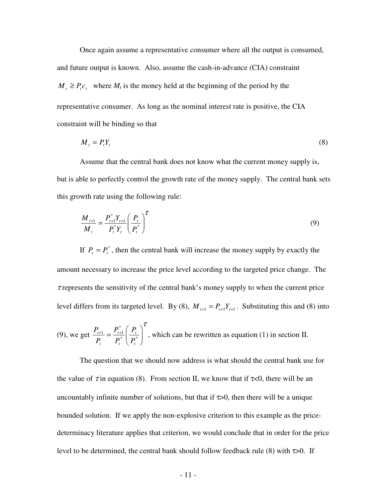Once again assume a representative consumer where all the output is consumed, and future output is known. Also, assume the cash-in-advance (CIA) constraint  $M_t \ge P_t c_t$  where  $M_t$  is the money held at the beginning of the period by the representative consumer. As long as the nominal interest rate is positive, the CIA constraint will be binding so that

$$
M_t = P_t Y_t \tag{8}
$$

 Assume that the central bank does not know what the current money supply is, but is able to perfectly control the growth rate of the money supply. The central bank sets this growth rate using the following rule:

$$
\frac{M_{t+1}}{M_t} = \frac{P_{t+1}^* Y_{t+1}}{P_t^* Y_t} \left(\frac{P_t}{P_t^*}\right)^{\tau}
$$
\n(9)

If  $P_t = P_t^*$ , then the central bank will increase the money supply by exactly the amount necessary to increase the price level according to the targeted price change. The  $\tau$  represents the sensitivity of the central bank's money supply to when the current price level differs from its targeted level. By (8),  $M_{t+1} = P_{t+1}Y_{t+1}$ . Substituting this and (8) into

(9), we get 
$$
\frac{P_{t+1}}{P_t} = \frac{P_{t+1}^*}{P_t^*} \left(\frac{P_t}{P_t^*}\right)^T
$$
, which can be rewritten as equation (1) in section II.

The question that we should now address is what should the central bank use for the value of  $\tau$  in equation (8). From section II, we know that if  $\tau$ <0, there will be an uncountably infinite number of solutions, but that if  $\tau > 0$ , then there will be a unique bounded solution. If we apply the non-explosive criterion to this example as the pricedeterminacy literature applies that criterion, we would conclude that in order for the price level to be determined, the central bank should follow feedback rule (8) with  $\tau > 0$ . If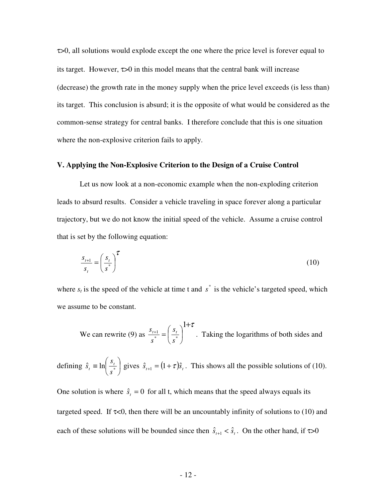τ>0, all solutions would explode except the one where the price level is forever equal to its target. However,  $\tau > 0$  in this model means that the central bank will increase (decrease) the growth rate in the money supply when the price level exceeds (is less than) its target. This conclusion is absurd; it is the opposite of what would be considered as the common-sense strategy for central banks. I therefore conclude that this is one situation where the non-explosive criterion fails to apply.

#### **V. Applying the Non-Explosive Criterion to the Design of a Cruise Control**

Let us now look at a non-economic example when the non-exploding criterion leads to absurd results. Consider a vehicle traveling in space forever along a particular trajectory, but we do not know the initial speed of the vehicle. Assume a cruise control that is set by the following equation:

$$
\frac{s_{t+1}}{s_t} = \left(\frac{s_t}{s^*}\right)^{\tau} \tag{10}
$$

where  $s_t$  is the speed of the vehicle at time t and  $s^*$  is the vehicle's targeted speed, which we assume to be constant.

 We can rewrite (9) as  $+\tau$  $\overline{\phantom{a}}$ - $\left(\frac{S_t}{\frac{1}{s}}\right)$ l ſ  $\frac{+1}{*}$  = 1 \* \* 1 *s s s*  $s_{t+1} = \left(s_{t}\right)^{1+\epsilon}$ . Taking the logarithms of both sides and

defining  $\hat{s}_t \equiv \ln \left| \frac{S_t}{S_t} \right|$ - $\left(\frac{S_t}{\cdot}\right)$ l ſ  $\hat{s}_t \equiv \ln \left| \frac{S_t}{s^*} \right|$ *s*  $\hat{s}_t \equiv \ln\left(\frac{s_t}{s}\right)$  gives  $\hat{s}_{t+1} = (1+\tau)\hat{s}_t$ . This shows all the possible solutions of (10).

One solution is where  $\hat{s}_t = 0$  for all t, which means that the speed always equals its targeted speed. If  $\tau$ <0, then there will be an uncountably infinity of solutions to (10) and each of these solutions will be bounded since then  $\hat{s}_{t+1} < \hat{s}_t$ . On the other hand, if  $\tau > 0$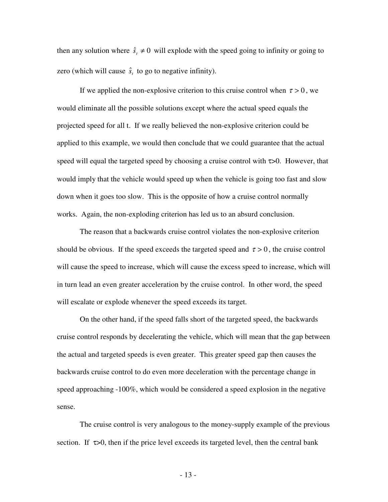then any solution where  $\hat{s}_t \neq 0$  will explode with the speed going to infinity or going to zero (which will cause  $\hat{s}_t$  to go to negative infinity).

If we applied the non-explosive criterion to this cruise control when  $\tau > 0$ , we would eliminate all the possible solutions except where the actual speed equals the projected speed for all t. If we really believed the non-explosive criterion could be applied to this example, we would then conclude that we could guarantee that the actual speed will equal the targeted speed by choosing a cruise control with  $\tau > 0$ . However, that would imply that the vehicle would speed up when the vehicle is going too fast and slow down when it goes too slow. This is the opposite of how a cruise control normally works. Again, the non-exploding criterion has led us to an absurd conclusion.

The reason that a backwards cruise control violates the non-explosive criterion should be obvious. If the speed exceeds the targeted speed and  $\tau > 0$ , the cruise control will cause the speed to increase, which will cause the excess speed to increase, which will in turn lead an even greater acceleration by the cruise control. In other word, the speed will escalate or explode whenever the speed exceeds its target.

On the other hand, if the speed falls short of the targeted speed, the backwards cruise control responds by decelerating the vehicle, which will mean that the gap between the actual and targeted speeds is even greater. This greater speed gap then causes the backwards cruise control to do even more deceleration with the percentage change in speed approaching -100%, which would be considered a speed explosion in the negative sense.

The cruise control is very analogous to the money-supply example of the previous section. If  $\tau > 0$ , then if the price level exceeds its targeted level, then the central bank

- 13 -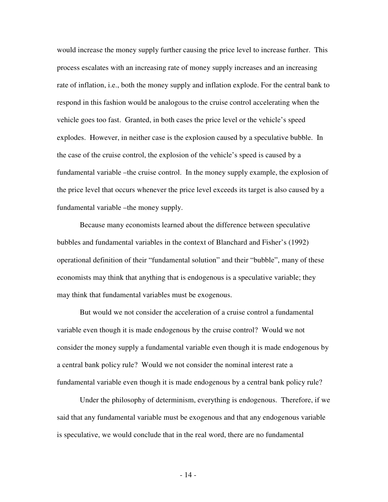would increase the money supply further causing the price level to increase further. This process escalates with an increasing rate of money supply increases and an increasing rate of inflation, i.e., both the money supply and inflation explode. For the central bank to respond in this fashion would be analogous to the cruise control accelerating when the vehicle goes too fast. Granted, in both cases the price level or the vehicle's speed explodes. However, in neither case is the explosion caused by a speculative bubble. In the case of the cruise control, the explosion of the vehicle's speed is caused by a fundamental variable –the cruise control. In the money supply example, the explosion of the price level that occurs whenever the price level exceeds its target is also caused by a fundamental variable –the money supply.

Because many economists learned about the difference between speculative bubbles and fundamental variables in the context of Blanchard and Fisher's (1992) operational definition of their "fundamental solution" and their "bubble", many of these economists may think that anything that is endogenous is a speculative variable; they may think that fundamental variables must be exogenous.

But would we not consider the acceleration of a cruise control a fundamental variable even though it is made endogenous by the cruise control? Would we not consider the money supply a fundamental variable even though it is made endogenous by a central bank policy rule? Would we not consider the nominal interest rate a fundamental variable even though it is made endogenous by a central bank policy rule?

Under the philosophy of determinism, everything is endogenous. Therefore, if we said that any fundamental variable must be exogenous and that any endogenous variable is speculative, we would conclude that in the real word, there are no fundamental

- 14 -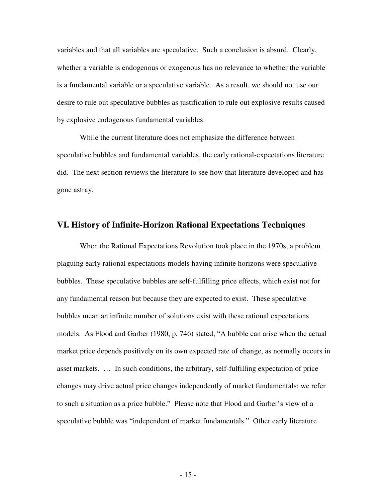variables and that all variables are speculative. Such a conclusion is absurd. Clearly, whether a variable is endogenous or exogenous has no relevance to whether the variable is a fundamental variable or a speculative variable. As a result, we should not use our desire to rule out speculative bubbles as justification to rule out explosive results caused by explosive endogenous fundamental variables.

While the current literature does not emphasize the difference between speculative bubbles and fundamental variables, the early rational-expectations literature did. The next section reviews the literature to see how that literature developed and has gone astray.

#### **VI. History of Infinite-Horizon Rational Expectations Techniques**

 When the Rational Expectations Revolution took place in the 1970s, a problem plaguing early rational expectations models having infinite horizons were speculative bubbles. These speculative bubbles are self-fulfilling price effects, which exist not for any fundamental reason but because they are expected to exist. These speculative bubbles mean an infinite number of solutions exist with these rational expectations models. As Flood and Garber (1980, p. 746) stated, "A bubble can arise when the actual market price depends positively on its own expected rate of change, as normally occurs in asset markets. … In such conditions, the arbitrary, self-fulfilling expectation of price changes may drive actual price changes independently of market fundamentals; we refer to such a situation as a price bubble." Please note that Flood and Garber's view of a speculative bubble was "independent of market fundamentals." Other early literature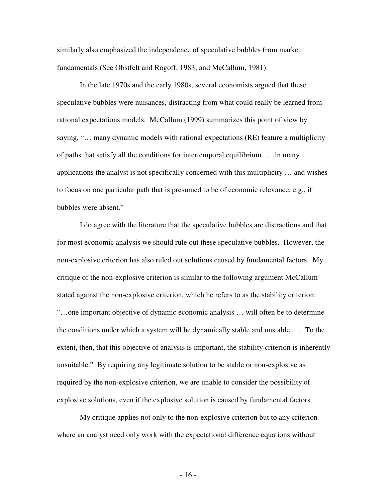similarly also emphasized the independence of speculative bubbles from market fundamentals (See Obstfelt and Rogoff, 1983; and McCallum, 1981).

 In the late 1970s and the early 1980s, several economists argued that these speculative bubbles were nuisances, distracting from what could really be learned from rational expectations models. McCallum (1999) summarizes this point of view by saying, "… many dynamic models with rational expectations (RE) feature a multiplicity of paths that satisfy all the conditions for intertemporal equilibrium. …in many applications the analyst is not specifically concerned with this multiplicity … and wishes to focus on one particular path that is presumed to be of economic relevance, e.g., if bubbles were absent."

I do agree with the literature that the speculative bubbles are distractions and that for most economic analysis we should rule out these speculative bubbles. However, the non-explosive criterion has also ruled out solutions caused by fundamental factors. My critique of the non-explosive criterion is similar to the following argument McCallum stated against the non-explosive criterion, which he refers to as the stability criterion: "…one important objective of dynamic economic analysis … will often be to determine the conditions under which a system will be dynamically stable and unstable. … To the extent, then, that this objective of analysis is important, the stability criterion is inherently unsuitable." By requiring any legitimate solution to be stable or non-explosive as required by the non-explosive criterion, we are unable to consider the possibility of explosive solutions, even if the explosive solution is caused by fundamental factors.

My critique applies not only to the non-explosive criterion but to any criterion where an analyst need only work with the expectational difference equations without

- 16 -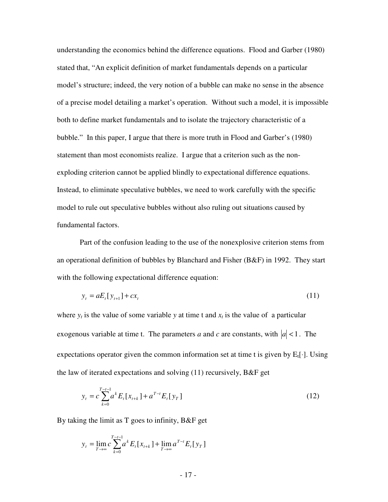understanding the economics behind the difference equations. Flood and Garber (1980) stated that, "An explicit definition of market fundamentals depends on a particular model's structure; indeed, the very notion of a bubble can make no sense in the absence of a precise model detailing a market's operation. Without such a model, it is impossible both to define market fundamentals and to isolate the trajectory characteristic of a bubble." In this paper, I argue that there is more truth in Flood and Garber's (1980) statement than most economists realize. I argue that a criterion such as the nonexploding criterion cannot be applied blindly to expectational difference equations. Instead, to eliminate speculative bubbles, we need to work carefully with the specific model to rule out speculative bubbles without also ruling out situations caused by fundamental factors.

Part of the confusion leading to the use of the nonexplosive criterion stems from an operational definition of bubbles by Blanchard and Fisher (B&F) in 1992. They start with the following expectational difference equation:

$$
y_t = aE_t[y_{t+1}] + cx_t
$$
 (11)

where  $y_t$  is the value of some variable  $y$  at time t and  $x_t$  is the value of a particular exogenous variable at time t. The parameters *a* and *c* are constants, with  $|a| < 1$ . The expectations operator given the common information set at time t is given by  $E_t[\cdot]$ . Using the law of iterated expectations and solving (11) recursively, B&F get

$$
y_t = c \sum_{k=0}^{T-t-1} a^k E_t[x_{t+k}] + a^{T-t} E_t[y_T]
$$
\n(12)

By taking the limit as T goes to infinity, B&F get

$$
y_{t} = \lim_{T \to \infty} c \sum_{k=0}^{T-t-1} a^{k} E_{t}[x_{t+k}] + \lim_{T \to \infty} a^{T-t} E_{t}[y_{T}]
$$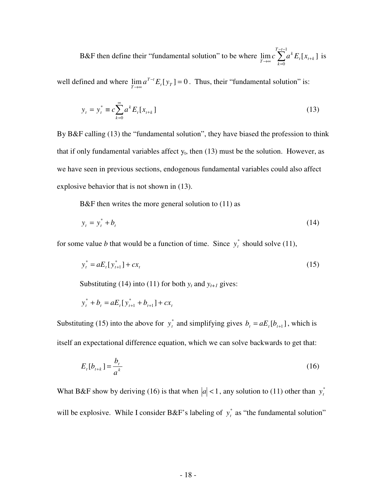B&F then define their "fundamental solution" to be where  $\lim_{T \to \infty} c \sum_{T}^{T-t}$ =  $\lim_{t\to\infty} C \leftarrow \lim_{t\to\infty} \mathcal{L}_t \mathcal{L}_{t+1}$ 1  $\boldsymbol{0}$  $\lim c \sum a^k E_t[x_{t+k}]$  $T-t$ *k*  $t \mathbf{L} \mathbf{v}_{t+k}$ *k*  $\lim_{T \to \infty} c \sum_{t=0}^{\infty} a^k E_t[x_{t+k}]$  is

well defined and where  $\lim a^{T-t} E_t[y_T] = 0$  $\lim_{t \to \infty} u$   $L_t y_T$ *tT*  $\lim_{T \to \infty} a^{T-t} E_t[y_T] = 0$ . Thus, their "fundamental solution" is:

$$
y_t = y_t^* \equiv c \sum_{k=0}^{\infty} a^k E_t[x_{t+k}] \tag{13}
$$

By B&F calling (13) the "fundamental solution", they have biased the profession to think that if only fundamental variables affect  $y_t$ , then (13) must be the solution. However, as we have seen in previous sections, endogenous fundamental variables could also affect explosive behavior that is not shown in (13).

B&F then writes the more general solution to (11) as

$$
y_t = y_t^* + b_t \tag{14}
$$

for some value *b* that would be a function of time. Since  $y_t^*$  should solve (11),

$$
y_t^* = aE_t[y_{t+1}^*] + cx_t
$$
\n(15)

Substituting (14) into (11) for both  $y_t$  and  $y_{t+1}$  gives:

$$
y_t^* + b_t = aE_t[y_{t+1}^* + b_{t+1}] + cx_t
$$

Substituting (15) into the above for  $y_t^*$  and simplifying gives  $b_t = aE_t[b_{t+1}]$ , which is itself an expectational difference equation, which we can solve backwards to get that:

$$
E_t[b_{t+k}] = \frac{b_t}{a^k} \tag{16}
$$

What B&F show by deriving (16) is that when  $|a| < 1$ , any solution to (11) other than  $y_t^*$ will be explosive. While I consider B&F's labeling of  $y_t^*$  as "the fundamental solution"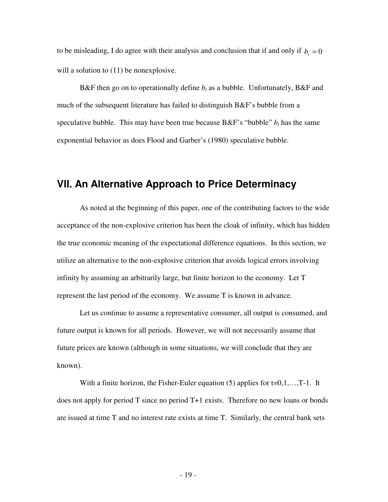to be misleading, I do agree with their analysis and conclusion that if and only if  $b_t = 0$ will a solution to  $(11)$  be nonexplosive.

B&F then go on to operationally define  $b_t$  as a bubble. Unfortunately, B&F and much of the subsequent literature has failed to distinguish B&F's bubble from a speculative bubble. This may have been true because  $B\&F's$  "bubble"  $b_t$  has the same exponential behavior as does Flood and Garber's (1980) speculative bubble.

# **VII. An Alternative Approach to Price Determinacy**

 As noted at the beginning of this paper, one of the contributing factors to the wide acceptance of the non-explosive criterion has been the cloak of infinity, which has hidden the true economic meaning of the expectational difference equations. In this section, we utilize an alternative to the non-explosive criterion that avoids logical errors involving infinity by assuming an arbitrarily large, but finite horizon to the economy. Let T represent the last period of the economy. We assume T is known in advance.

 Let us continue to assume a representative consumer, all output is consumed, and future output is known for all periods. However, we will not necessarily assume that future prices are known (although in some situations, we will conclude that they are known).

With a finite horizon, the Fisher-Euler equation  $(5)$  applies for  $t=0,1,\ldots,T-1$ . It does not apply for period T since no period T+1 exists. Therefore no new loans or bonds are issued at time T and no interest rate exists at time T. Similarly, the central bank sets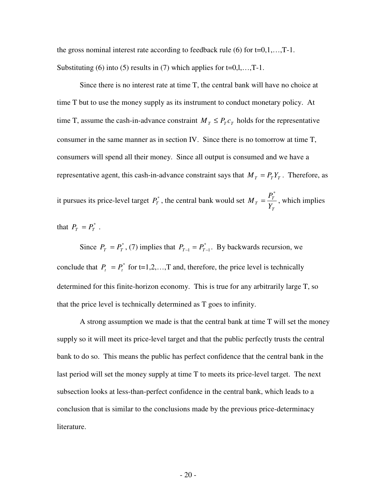the gross nominal interest rate according to feedback rule  $(6)$  for  $t=0,1,...,T-1$ . Substituting (6) into (5) results in (7) which applies for  $t=0,1,...,T-1$ .

Since there is no interest rate at time T, the central bank will have no choice at time T but to use the money supply as its instrument to conduct monetary policy. At time T, assume the cash-in-advance constraint  $M_T \leq P_T c_T$  holds for the representative consumer in the same manner as in section IV. Since there is no tomorrow at time T, consumers will spend all their money. Since all output is consumed and we have a representative agent, this cash-in-advance constraint says that  $M_T = P_T Y_T$ . Therefore, as it pursues its price-level target  $P^*_T$ , the central bank would set *T*  $T = \frac{I_T}{Y_T}$  $M_T = \frac{P_1}{P}$ \*  $=\frac{1}{x}$ , which implies

that  $P_T = P_T^*$ .

Since  $P_T = P_T^*$ , (7) implies that  $P_{T-1} = P_{T-1}^*$ . By backwards recursion, we conclude that  $P_t = P_t^*$  for t=1,2,...,T and, therefore, the price level is technically determined for this finite-horizon economy. This is true for any arbitrarily large T, so that the price level is technically determined as T goes to infinity.

A strong assumption we made is that the central bank at time T will set the money supply so it will meet its price-level target and that the public perfectly trusts the central bank to do so. This means the public has perfect confidence that the central bank in the last period will set the money supply at time T to meets its price-level target. The next subsection looks at less-than-perfect confidence in the central bank, which leads to a conclusion that is similar to the conclusions made by the previous price-determinacy literature.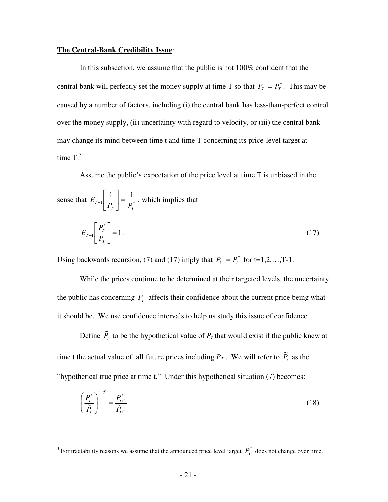#### **The Central-Bank Credibility Issue**:

 In this subsection, we assume that the public is not 100% confident that the central bank will perfectly set the money supply at time T so that  $P_T = P_T^*$ . This may be caused by a number of factors, including (i) the central bank has less-than-perfect control over the money supply, (ii) uncertainty with regard to velocity, or (iii) the central bank may change its mind between time t and time T concerning its price-level target at time  $T<sup>5</sup>$ 

Assume the public's expectation of the price level at time T is unbiased in the

sense that 
$$
E_{T-1} \left[ \frac{1}{P_T} \right] = \frac{1}{P_T^*}
$$
, which implies that  

$$
E_{T-1} \left[ \frac{P_T^*}{P_T} \right] = 1.
$$
 (17)

Using backwards recursion, (7) and (17) imply that  $P_t = P_t^*$  for t=1,2,...,T-1.

While the prices continue to be determined at their targeted levels, the uncertainty the public has concerning  $P_T$  affects their confidence about the current price being what it should be. We use confidence intervals to help us study this issue of confidence.

Define  $\tilde{P}_t$  to be the hypothetical value of  $P_t$  that would exist if the public knew at time t the actual value of all future prices including  $P_T$ . We will refer to  $\widetilde{P}_t$  as the "hypothetical true price at time t." Under this hypothetical situation (7) becomes:

$$
\left(\frac{P_i^*}{\widetilde{P}_t}\right)^{1+\widetilde{L}} = \frac{P_{i+1}^*}{\widetilde{P}_{i+1}}
$$
\n(18)

 $\overline{a}$ 

<sup>&</sup>lt;sup>5</sup> For tractability reasons we assume that the announced price level target  $P_T^*$  does not change over time.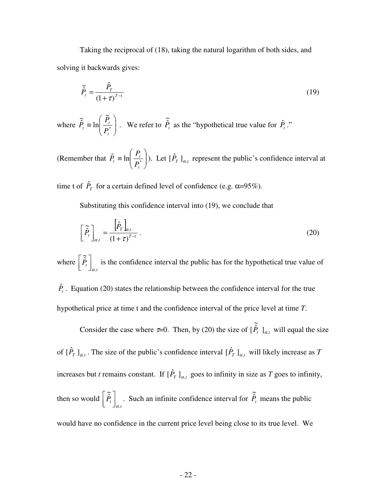Taking the reciprocal of (18), taking the natural logarithm of both sides, and solving it backwards gives:

$$
\widetilde{\hat{P}}_t = \frac{\hat{P}_T}{\left(1+\tau\right)^{T-t}}\tag{19}
$$

where  $\hat{P}_t \equiv \ln \left| \frac{F_t}{P^*} \right|$ - $\backslash$  $\overline{\phantom{a}}$  $\setminus$ ſ  $\equiv \ln \left| \frac{\Delta t}{D^*} \right|$  $\tilde{\bf{b}}$ ln  $\tilde{\hat{P}}$ *t*  $\frac{d}{dt}$   $\equiv$   $\ln \left( \frac{I_t}{P_t} \right)$  $\widetilde{\hat{P}}_t \equiv \ln\left(\frac{P_t}{P_t^*}\right)$ . We refer to  $\widetilde{\hat{P}}_t$  $\widetilde{\hat{P}}_t$  as the "hypothetical true value for  $\hat{P}_t$ ."

(Remember that  $\hat{P}_t \equiv \ln \left| \frac{I_t}{R} \right|$ - $\backslash$  $\overline{\phantom{a}}$ l ſ  $\hat{P}_t \equiv \ln \left| \frac{P_t}{D^*} \right|$ *t t*  $\mu$ <sup>- $\mu$ </sup> *P*<sub>*l*</sub> *P*  $\hat{P}_t \equiv \ln \left| \frac{P_t}{R} \right|$ ). Let  $\left[ \hat{P}_T \right]_{\alpha,t}$  represent the public's confidence interval at

time t of  $\hat{P}_T$  for a certain defined level of confidence (e.g.  $\alpha=95\%$ ).

Substituting this confidence interval into (19), we conclude that

$$
\left[\tilde{\hat{P}}_t\right]_{\alpha,t} = \frac{\left[\hat{P}_T\right]_{\alpha,t}}{\left(1+\tau\right)^{T-t}}\,. \tag{20}
$$

where  $\left. P_{\scriptscriptstyle t} \right|_{\alpha,\scriptscriptstyle t}$  $\tilde{\hat{P}}$  $\int_{\alpha}$ 1 L  $\begin{bmatrix} \tilde{\hat{P}}_t \end{bmatrix}$  is the confidence interval the public has for the hypothetical true value of

 $\hat{P}_t$ . Equation (20) states the relationship between the confidence interval for the true hypothetical price at time t and the confidence interval of the price level at time *T*.

Consider the case where  $\tau=0$ . Then, by (20) the size of  $[P_t]_{\alpha,t}$  $[\tilde{\hat{P}}_t]_{\alpha,t}$  will equal the size of  $[\hat{P}_T]_{\alpha,t}$ . The size of the public's confidence interval  $[\hat{P}_T]_{\alpha,t}$  will likely increase as *T* increases but *t* remains constant. If  $[\hat{P}_T]_{\alpha,t}$  goes to infinity in size as *T* goes to infinity, then so would  $\left. \frac{\ddot{P}_t}{\dot{P}_{\alpha,t}} \right|_{\alpha,t}$  $\tilde{\hat{P}}$  $\int_{\alpha}$ 1 L  $\left[\begin{array}{c} \widetilde{\hat{P}}_t \end{array}\right]$  . Such an infinite confidence interval for  $\widetilde{\hat{P}}_t$  $\tilde{\hat{P}}_t$  means the public would have no confidence in the current price level being close to its true level. We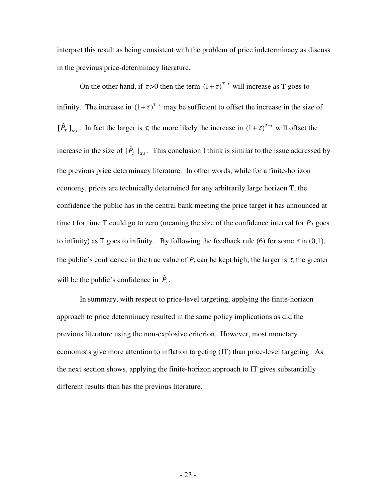interpret this result as being consistent with the problem of price indeterminacy as discuss in the previous price-determinacy literature.

On the other hand, if  $\tau > 0$  then the term  $(1 + \tau)^{T-t}$  will increase as T goes to infinity. The increase in  $(1 + \tau)^{T-t}$  may be sufficient to offset the increase in the size of  $[\hat{P}_T]_{\alpha,t}$ . In fact the larger is  $\tau$ , the more likely the increase in  $(1+\tau)^{T-t}$  will offset the increase in the size of  $[\hat{P}_T]_{\alpha,t}$ . This conclusion I think is similar to the issue addressed by the previous price determinacy literature. In other words, while for a finite-horizon economy, prices are technically determined for any arbitrarily large horizon T, the confidence the public has in the central bank meeting the price target it has announced at time t for time T could go to zero (meaning the size of the confidence interval for  $P_T$  goes to infinity) as T goes to infinity. By following the feedback rule (6) for some  $\tau$  in (0,1), the public's confidence in the true value of  $P_t$  can be kept high; the larger is  $\tau$ , the greater will be the public's confidence in  $\hat{P}_t$ .

In summary, with respect to price-level targeting, applying the finite-horizon approach to price determinacy resulted in the same policy implications as did the previous literature using the non-explosive criterion. However, most monetary economists give more attention to inflation targeting (IT) than price-level targeting. As the next section shows, applying the finite-horizon approach to IT gives substantially different results than has the previous literature.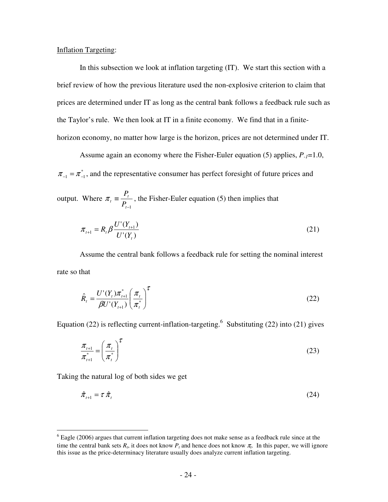#### Inflation Targeting:

 In this subsection we look at inflation targeting (IT). We start this section with a brief review of how the previous literature used the non-explosive criterion to claim that prices are determined under IT as long as the central bank follows a feedback rule such as the Taylor's rule. We then look at IT in a finite economy. We find that in a finitehorizon economy, no matter how large is the horizon, prices are not determined under IT.

 Assume again an economy where the Fisher-Euler equation (5) applies, *P-1*=1.0,  $\pi_{-1} = \pi_{-1}^*$ , and the representative consumer has perfect foresight of future prices and

output. Where −1 ≡ *t t*  $^{t}$ <sup>-</sup>  $P_{t}$ *P*  $\pi_t = \frac{t}{n}$ , the Fisher-Euler equation (5) then implies that

$$
\pi_{t+1} = R_t \beta \frac{U'(Y_{t+1})}{U'(Y_t)}
$$
\n(21)

 Assume the central bank follows a feedback rule for setting the nominal interest rate so that

$$
\hat{R}_t = \frac{U'(Y_t)\pi_{t+1}^*}{\beta U'(Y_{t+1})} \left(\frac{\pi_t}{\pi_t^*}\right)^{\tau}
$$
\n(22)

Equation (22) is reflecting current-inflation-targeting.<sup>6</sup> Substituting (22) into (21) gives

$$
\frac{\pi_{t+1}}{\pi_{t+1}^*} = \left(\frac{\pi_t}{\pi_t^*}\right)^{\tau}
$$
\n(23)

Taking the natural log of both sides we get

$$
\hat{\pi}_{t+1} = \tau \, \hat{\pi}_t \tag{24}
$$

<sup>&</sup>lt;sup>6</sup> Eagle (2006) argues that current inflation targeting does not make sense as a feedback rule since at the time the central bank sets  $R_t$ , it does not know  $P_t$  and hence does not know  $\pi_t$ . In this paper, we will ignore this issue as the price-determinacy literature usually does analyze current inflation targeting.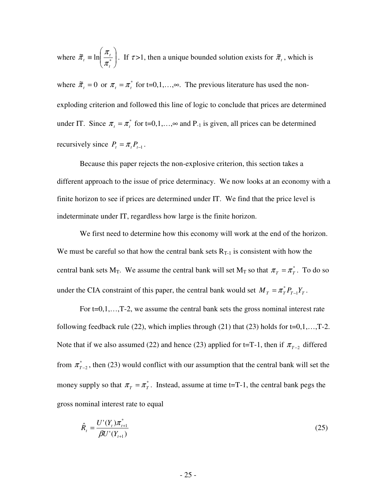where  $\tilde{\pi}_t \equiv \ln \left| \frac{\lambda_t}{\pi^*} \right|$ - $\backslash$  $\overline{\phantom{a}}$ l ſ  $\widetilde{\pi}_{t} = \ln \left| \frac{\pi_{t}}{\pi^{*}} \right|$ *t t t* π  $\tilde{\pi}_i \equiv \ln \left| \frac{\pi_i}{\pi} \right|$ . If  $\tau > 1$ , then a unique bounded solution exists for  $\tilde{\pi}_i$ , which is

where  $\tilde{\pi}_t = 0$  or  $\pi_t = \pi_t^*$  for t=0,1,..., $\infty$ . The previous literature has used the nonexploding criterion and followed this line of logic to conclude that prices are determined under IT. Since  $\pi_t = \pi_t^*$  for t=0,1,..., $\infty$  and P<sub>-1</sub> is given, all prices can be determined recursively since  $P_t = \pi_t P_{t-1}$ .

 Because this paper rejects the non-explosive criterion, this section takes a different approach to the issue of price determinacy. We now looks at an economy with a finite horizon to see if prices are determined under IT. We find that the price level is indeterminate under IT, regardless how large is the finite horizon.

We first need to determine how this economy will work at the end of the horizon. We must be careful so that how the central bank sets  $R_{T-1}$  is consistent with how the central bank sets M<sub>T</sub>. We assume the central bank will set M<sub>T</sub> so that  $\pi_T = \pi_T^*$ . To do so under the CIA constraint of this paper, the central bank would set  $M_T = \pi_T^* P_{T-1} Y_T$ .

For  $t=0,1,...,T-2$ , we assume the central bank sets the gross nominal interest rate following feedback rule  $(22)$ , which implies through  $(21)$  that  $(23)$  holds for t=0,1,...,T-2. Note that if we also assumed (22) and hence (23) applied for t=T-1, then if  $\pi_{T-2}$  differed from  $\pi^*_{T-2}$ , then (23) would conflict with our assumption that the central bank will set the money supply so that  $\pi_T = \pi_T^*$ . Instead, assume at time t=T-1, the central bank pegs the gross nominal interest rate to equal

$$
\hat{R}_t = \frac{U'(Y_t)\pi_{t+1}^*}{\beta U'(Y_{t+1})}
$$
\n(25)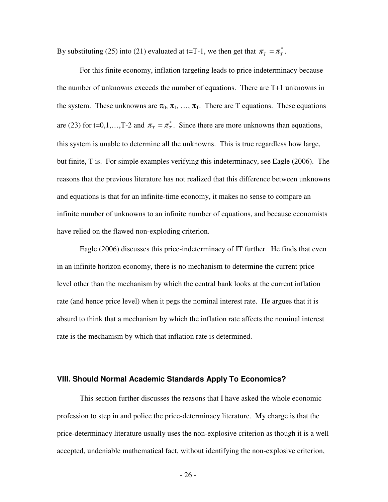By substituting (25) into (21) evaluated at t=T-1, we then get that  $\pi_T = \pi_T^*$ .

 For this finite economy, inflation targeting leads to price indeterminacy because the number of unknowns exceeds the number of equations. There are T+1 unknowns in the system. These unknowns are  $\pi_0$ ,  $\pi_1$ , ...,  $\pi_T$ . There are T equations. These equations are (23) for t=0,1,...,T-2 and  $\pi$ <sub>*T*</sub> =  $\pi$ <sup>\*</sup><sub>*T*</sub>. Since there are more unknowns than equations, this system is unable to determine all the unknowns. This is true regardless how large, but finite, T is. For simple examples verifying this indeterminacy, see Eagle (2006). The reasons that the previous literature has not realized that this difference between unknowns and equations is that for an infinite-time economy, it makes no sense to compare an infinite number of unknowns to an infinite number of equations, and because economists have relied on the flawed non-exploding criterion.

 Eagle (2006) discusses this price-indeterminacy of IT further. He finds that even in an infinite horizon economy, there is no mechanism to determine the current price level other than the mechanism by which the central bank looks at the current inflation rate (and hence price level) when it pegs the nominal interest rate. He argues that it is absurd to think that a mechanism by which the inflation rate affects the nominal interest rate is the mechanism by which that inflation rate is determined.

#### **VIII. Should Normal Academic Standards Apply To Economics?**

 This section further discusses the reasons that I have asked the whole economic profession to step in and police the price-determinacy literature. My charge is that the price-determinacy literature usually uses the non-explosive criterion as though it is a well accepted, undeniable mathematical fact, without identifying the non-explosive criterion,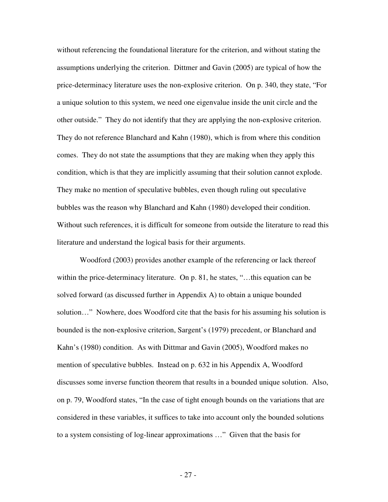without referencing the foundational literature for the criterion, and without stating the assumptions underlying the criterion. Dittmer and Gavin (2005) are typical of how the price-determinacy literature uses the non-explosive criterion. On p. 340, they state, "For a unique solution to this system, we need one eigenvalue inside the unit circle and the other outside." They do not identify that they are applying the non-explosive criterion. They do not reference Blanchard and Kahn (1980), which is from where this condition comes. They do not state the assumptions that they are making when they apply this condition, which is that they are implicitly assuming that their solution cannot explode. They make no mention of speculative bubbles, even though ruling out speculative bubbles was the reason why Blanchard and Kahn (1980) developed their condition. Without such references, it is difficult for someone from outside the literature to read this literature and understand the logical basis for their arguments.

Woodford (2003) provides another example of the referencing or lack thereof within the price-determinacy literature. On p. 81, he states, "...this equation can be solved forward (as discussed further in Appendix A) to obtain a unique bounded solution…" Nowhere, does Woodford cite that the basis for his assuming his solution is bounded is the non-explosive criterion, Sargent's (1979) precedent, or Blanchard and Kahn's (1980) condition. As with Dittmar and Gavin (2005), Woodford makes no mention of speculative bubbles. Instead on p. 632 in his Appendix A, Woodford discusses some inverse function theorem that results in a bounded unique solution. Also, on p. 79, Woodford states, "In the case of tight enough bounds on the variations that are considered in these variables, it suffices to take into account only the bounded solutions to a system consisting of log-linear approximations …" Given that the basis for

- 27 -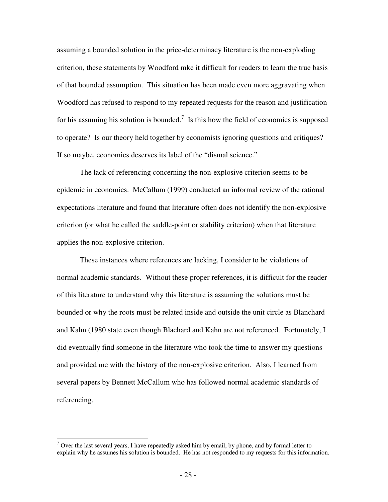assuming a bounded solution in the price-determinacy literature is the non-exploding criterion, these statements by Woodford mke it difficult for readers to learn the true basis of that bounded assumption. This situation has been made even more aggravating when Woodford has refused to respond to my repeated requests for the reason and justification for his assuming his solution is bounded.<sup>7</sup> Is this how the field of economics is supposed to operate? Is our theory held together by economists ignoring questions and critiques? If so maybe, economics deserves its label of the "dismal science."

The lack of referencing concerning the non-explosive criterion seems to be epidemic in economics. McCallum (1999) conducted an informal review of the rational expectations literature and found that literature often does not identify the non-explosive criterion (or what he called the saddle-point or stability criterion) when that literature applies the non-explosive criterion.

 These instances where references are lacking, I consider to be violations of normal academic standards. Without these proper references, it is difficult for the reader of this literature to understand why this literature is assuming the solutions must be bounded or why the roots must be related inside and outside the unit circle as Blanchard and Kahn (1980 state even though Blachard and Kahn are not referenced. Fortunately, I did eventually find someone in the literature who took the time to answer my questions and provided me with the history of the non-explosive criterion. Also, I learned from several papers by Bennett McCallum who has followed normal academic standards of referencing.

 $\overline{a}$ 

 $<sup>7</sup>$  Over the last several years, I have repeatedly asked him by email, by phone, and by formal letter to</sup> explain why he assumes his solution is bounded. He has not responded to my requests for this information.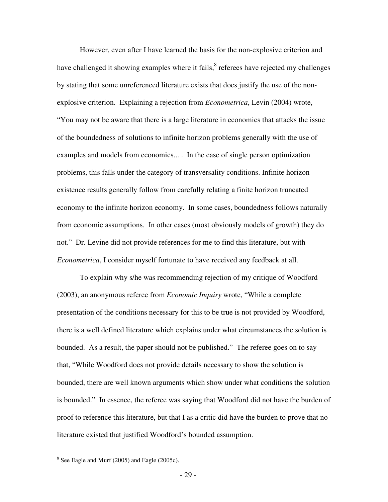However, even after I have learned the basis for the non-explosive criterion and have challenged it showing examples where it fails, <sup>8</sup> referees have rejected my challenges by stating that some unreferenced literature exists that does justify the use of the nonexplosive criterion. Explaining a rejection from *Econometrica*, Levin (2004) wrote, "You may not be aware that there is a large literature in economics that attacks the issue of the boundedness of solutions to infinite horizon problems generally with the use of examples and models from economics... . In the case of single person optimization problems, this falls under the category of transversality conditions. Infinite horizon existence results generally follow from carefully relating a finite horizon truncated economy to the infinite horizon economy. In some cases, boundedness follows naturally from economic assumptions. In other cases (most obviously models of growth) they do not." Dr. Levine did not provide references for me to find this literature, but with *Econometrica*, I consider myself fortunate to have received any feedback at all.

 To explain why s/he was recommending rejection of my critique of Woodford (2003), an anonymous referee from *Economic Inquiry* wrote, "While a complete presentation of the conditions necessary for this to be true is not provided by Woodford, there is a well defined literature which explains under what circumstances the solution is bounded. As a result, the paper should not be published." The referee goes on to say that, "While Woodford does not provide details necessary to show the solution is bounded, there are well known arguments which show under what conditions the solution is bounded." In essence, the referee was saying that Woodford did not have the burden of proof to reference this literature, but that I as a critic did have the burden to prove that no literature existed that justified Woodford's bounded assumption.

<sup>&</sup>lt;sup>8</sup> See Eagle and Murf (2005) and Eagle (2005c).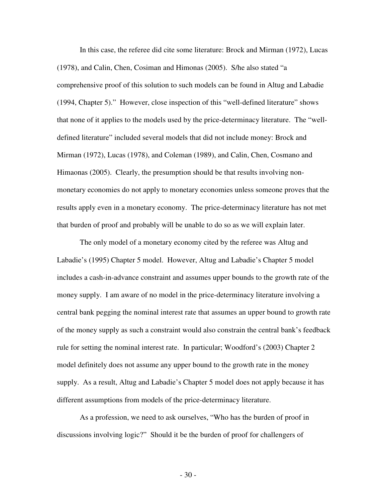In this case, the referee did cite some literature: Brock and Mirman (1972), Lucas (1978), and Calin, Chen, Cosiman and Himonas (2005). S/he also stated "a comprehensive proof of this solution to such models can be found in Altug and Labadie (1994, Chapter 5)." However, close inspection of this "well-defined literature" shows that none of it applies to the models used by the price-determinacy literature. The "welldefined literature" included several models that did not include money: Brock and Mirman (1972), Lucas (1978), and Coleman (1989), and Calin, Chen, Cosmano and Himaonas (2005). Clearly, the presumption should be that results involving nonmonetary economies do not apply to monetary economies unless someone proves that the results apply even in a monetary economy. The price-determinacy literature has not met that burden of proof and probably will be unable to do so as we will explain later.

The only model of a monetary economy cited by the referee was Altug and Labadie's (1995) Chapter 5 model. However, Altug and Labadie's Chapter 5 model includes a cash-in-advance constraint and assumes upper bounds to the growth rate of the money supply. I am aware of no model in the price-determinacy literature involving a central bank pegging the nominal interest rate that assumes an upper bound to growth rate of the money supply as such a constraint would also constrain the central bank's feedback rule for setting the nominal interest rate. In particular; Woodford's (2003) Chapter 2 model definitely does not assume any upper bound to the growth rate in the money supply. As a result, Altug and Labadie's Chapter 5 model does not apply because it has different assumptions from models of the price-determinacy literature.

 As a profession, we need to ask ourselves, "Who has the burden of proof in discussions involving logic?" Should it be the burden of proof for challengers of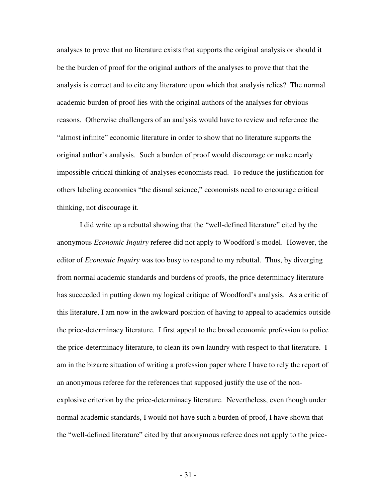analyses to prove that no literature exists that supports the original analysis or should it be the burden of proof for the original authors of the analyses to prove that that the analysis is correct and to cite any literature upon which that analysis relies? The normal academic burden of proof lies with the original authors of the analyses for obvious reasons. Otherwise challengers of an analysis would have to review and reference the "almost infinite" economic literature in order to show that no literature supports the original author's analysis. Such a burden of proof would discourage or make nearly impossible critical thinking of analyses economists read. To reduce the justification for others labeling economics "the dismal science," economists need to encourage critical thinking, not discourage it.

I did write up a rebuttal showing that the "well-defined literature" cited by the anonymous *Economic Inquiry* referee did not apply to Woodford's model. However, the editor of *Economic Inquiry* was too busy to respond to my rebuttal. Thus, by diverging from normal academic standards and burdens of proofs, the price determinacy literature has succeeded in putting down my logical critique of Woodford's analysis. As a critic of this literature, I am now in the awkward position of having to appeal to academics outside the price-determinacy literature. I first appeal to the broad economic profession to police the price-determinacy literature, to clean its own laundry with respect to that literature. I am in the bizarre situation of writing a profession paper where I have to rely the report of an anonymous referee for the references that supposed justify the use of the nonexplosive criterion by the price-determinacy literature. Nevertheless, even though under normal academic standards, I would not have such a burden of proof, I have shown that the "well-defined literature" cited by that anonymous referee does not apply to the price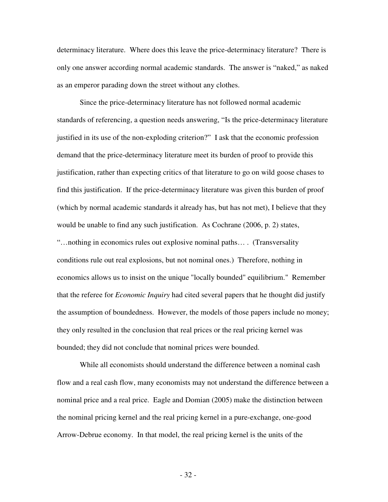determinacy literature. Where does this leave the price-determinacy literature? There is only one answer according normal academic standards. The answer is "naked," as naked as an emperor parading down the street without any clothes.

 Since the price-determinacy literature has not followed normal academic standards of referencing, a question needs answering, "Is the price-determinacy literature justified in its use of the non-exploding criterion?" I ask that the economic profession demand that the price-determinacy literature meet its burden of proof to provide this justification, rather than expecting critics of that literature to go on wild goose chases to find this justification. If the price-determinacy literature was given this burden of proof (which by normal academic standards it already has, but has not met), I believe that they would be unable to find any such justification. As Cochrane (2006, p. 2) states, "…nothing in economics rules out explosive nominal paths… . (Transversality conditions rule out real explosions, but not nominal ones.) Therefore, nothing in economics allows us to insist on the unique "locally bounded" equilibrium." Remember that the referee for *Economic Inquiry* had cited several papers that he thought did justify the assumption of boundedness. However, the models of those papers include no money; they only resulted in the conclusion that real prices or the real pricing kernel was bounded; they did not conclude that nominal prices were bounded.

 While all economists should understand the difference between a nominal cash flow and a real cash flow, many economists may not understand the difference between a nominal price and a real price. Eagle and Domian (2005) make the distinction between the nominal pricing kernel and the real pricing kernel in a pure-exchange, one-good Arrow-Debrue economy. In that model, the real pricing kernel is the units of the

- 32 -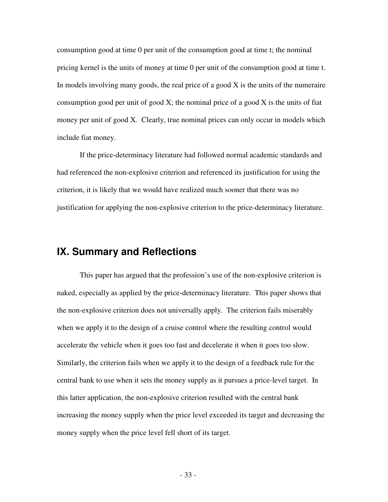consumption good at time 0 per unit of the consumption good at time t; the nominal pricing kernel is the units of money at time 0 per unit of the consumption good at time t. In models involving many goods, the real price of a good  $X$  is the units of the numeraire consumption good per unit of good  $X$ ; the nominal price of a good  $X$  is the units of fiat money per unit of good X. Clearly, true nominal prices can only occur in models which include fiat money.

If the price-determinacy literature had followed normal academic standards and had referenced the non-explosive criterion and referenced its justification for using the criterion, it is likely that we would have realized much sooner that there was no justification for applying the non-explosive criterion to the price-determinacy literature.

# **IX. Summary and Reflections**

 This paper has argued that the profession's use of the non-explosive criterion is naked, especially as applied by the price-determinacy literature. This paper shows that the non-explosive criterion does not universally apply. The criterion fails miserably when we apply it to the design of a cruise control where the resulting control would accelerate the vehicle when it goes too fast and decelerate it when it goes too slow. Similarly, the criterion fails when we apply it to the design of a feedback rule for the central bank to use when it sets the money supply as it pursues a price-level target. In this latter application, the non-explosive criterion resulted with the central bank increasing the money supply when the price level exceeded its target and decreasing the money supply when the price level fell short of its target.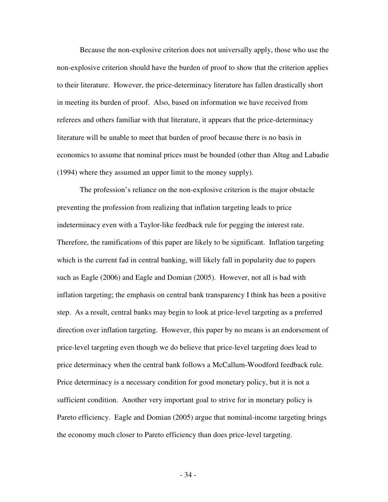Because the non-explosive criterion does not universally apply, those who use the non-explosive criterion should have the burden of proof to show that the criterion applies to their literature. However, the price-determinacy literature has fallen drastically short in meeting its burden of proof. Also, based on information we have received from referees and others familiar with that literature, it appears that the price-determinacy literature will be unable to meet that burden of proof because there is no basis in economics to assume that nominal prices must be bounded (other than Altug and Labadie (1994) where they assumed an upper limit to the money supply).

The profession's reliance on the non-explosive criterion is the major obstacle preventing the profession from realizing that inflation targeting leads to price indeterminacy even with a Taylor-like feedback rule for pegging the interest rate. Therefore, the ramifications of this paper are likely to be significant. Inflation targeting which is the current fad in central banking, will likely fall in popularity due to papers such as Eagle (2006) and Eagle and Domian (2005). However, not all is bad with inflation targeting; the emphasis on central bank transparency I think has been a positive step. As a result, central banks may begin to look at price-level targeting as a preferred direction over inflation targeting. However, this paper by no means is an endorsement of price-level targeting even though we do believe that price-level targeting does lead to price determinacy when the central bank follows a McCallum-Woodford feedback rule. Price determinacy is a necessary condition for good monetary policy, but it is not a sufficient condition. Another very important goal to strive for in monetary policy is Pareto efficiency. Eagle and Domian (2005) argue that nominal-income targeting brings the economy much closer to Pareto efficiency than does price-level targeting.

- 34 -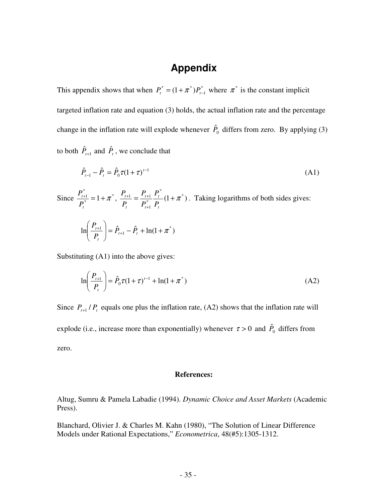# **Appendix**

This appendix shows that when  $P_t^* = (1 + \pi^*)P_{t-1}^*$  $P_t^* = (1 + \pi^*) P_{t-1}^*$  where  $\pi^*$  is the constant implicit targeted inflation rate and equation (3) holds, the actual inflation rate and the percentage change in the inflation rate will explode whenever  $\hat{P}_0$  differs from zero. By applying (3) to both  $\hat{P}_{t+1}$  and  $\hat{P}_t$ , we conclude that

$$
\hat{P}_{t-1} - \hat{P}_t = \hat{P}_0 \tau (1 + \tau)^{t-1}
$$
\n(A1)

Since  $\frac{I_{t+1}}{D^*} = 1 + \pi^*$ \*  $\frac{+1}{*} = 1 + \pi$ *t t P*  $\frac{P_{t+1}^*}{P_{t+1}^*} = 1 + \pi^*, \ \frac{P_{t+1}}{P_{t+1}^*} = \frac{P_{t+1}^*}{P_{t+1}^*} = \frac{P_{t+1}^*}{P_{t+1}^*} = \frac{P_{t+1}^*}{P_{t+1}^*}$ \* 1  $\frac{1}{n} = \frac{1}{n} \frac{1}{n} \frac{1}{n} \frac{1}{n} (1 + \pi)$ +  $^{+1}$   $^{t}$   $^{t+}$ *t t t t t t P P P P P*  $P_{n+1} = P_{n+1} P_{n}^{*} (1 + \pi^{*})$ . Taking logarithms of both sides gives:  $\ln \left| \frac{P_{t+1}}{P} \right| = \hat{P}_{t+1} - \hat{P}_{t} + \ln(1 + \pi^{*})$  $\frac{1}{1}$  =  $\hat{P}_{t+1}$  -  $\hat{P}_{t}$  + ln(1 +  $\pi$ - $\backslash$  $\overline{\phantom{a}}$  $\setminus$ ſ + +  $t+1$   $\qquad$   $t$ *t*  $\left| \frac{t+1}{2} \right| = \hat{P}_{t+1} - \hat{P}_{t}$ *P P*

Substituting (A1) into the above gives:

$$
\ln\left(\frac{P_{t+1}}{P_t}\right) = \hat{P}_0 \tau (1+\tau)^{t-1} + \ln(1+\pi^*)
$$
\n(A2)

Since  $P_{t+1}/P_t$  equals one plus the inflation rate, (A2) shows that the inflation rate will explode (i.e., increase more than exponentially) whenever  $\tau > 0$  and  $\hat{P}_0$  differs from zero.

#### **References:**

Altug, Sumru & Pamela Labadie (1994). *Dynamic Choice and Asset Markets* (Academic Press).

Blanchard, Olivier J. & Charles M. Kahn (1980), "The Solution of Linear Difference Models under Rational Expectations," *Econometrica*, 48(#5):1305-1312.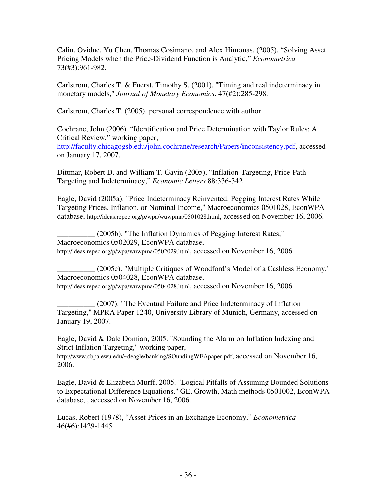Calin, Ovidue, Yu Chen, Thomas Cosimano, and Alex Himonas, (2005), "Solving Asset Pricing Models when the Price-Dividend Function is Analytic," *Econometrica* 73(#3):961-982.

Carlstrom, Charles T. & Fuerst, Timothy S. (2001). "Timing and real indeterminacy in monetary models," *Journal of Monetary Economics*. 47(#2):285-298.

Carlstrom, Charles T. (2005). personal correspondence with author.

Cochrane, John (2006). "Identification and Price Determination with Taylor Rules: A Critical Review," working paper,

http://faculty.chicagogsb.edu/john.cochrane/research/Papers/inconsistency.pdf, accessed on January 17, 2007.

Dittmar, Robert D. and William T. Gavin (2005), "Inflation-Targeting, Price-Path Targeting and Indeterminacy," *Economic Letters* 88:336-342.

Eagle, David (2005a). "Price Indeterminacy Reinvented: Pegging Interest Rates While Targeting Prices, Inflation, or Nominal Income," Macroeconomics 0501028, EconWPA database, http://ideas.repec.org/p/wpa/wuwpma/0501028.html, accessed on November 16, 2006.

\_\_\_\_\_\_\_\_\_\_ (2005b). "The Inflation Dynamics of Pegging Interest Rates," Macroeconomics 0502029, EconWPA database, http://ideas.repec.org/p/wpa/wuwpma/0502029.html, accessed on November 16, 2006.

\_\_\_\_\_\_\_\_\_\_ (2005c). "Multiple Critiques of Woodford's Model of a Cashless Economy," Macroeconomics 0504028, EconWPA database, http://ideas.repec.org/p/wpa/wuwpma/0504028.html, accessed on November 16, 2006.

\_\_\_\_\_\_\_\_\_\_ (2007). "The Eventual Failure and Price Indeterminacy of Inflation Targeting," MPRA Paper 1240, University Library of Munich, Germany, accessed on January 19, 2007.

Eagle, David & Dale Domian, 2005. "Sounding the Alarm on Inflation Indexing and Strict Inflation Targeting," working paper,

http://www.cbpa.ewu.edu/~deagle/banking/SOundingWEApaper.pdf, accessed on November 16, 2006.

Eagle, David & Elizabeth Murff, 2005. "Logical Pitfalls of Assuming Bounded Solutions to Expectational Difference Equations," GE, Growth, Math methods 0501002, EconWPA database, , accessed on November 16, 2006.

Lucas, Robert (1978), "Asset Prices in an Exchange Economy," *Econometrica*  46(#6):1429-1445.